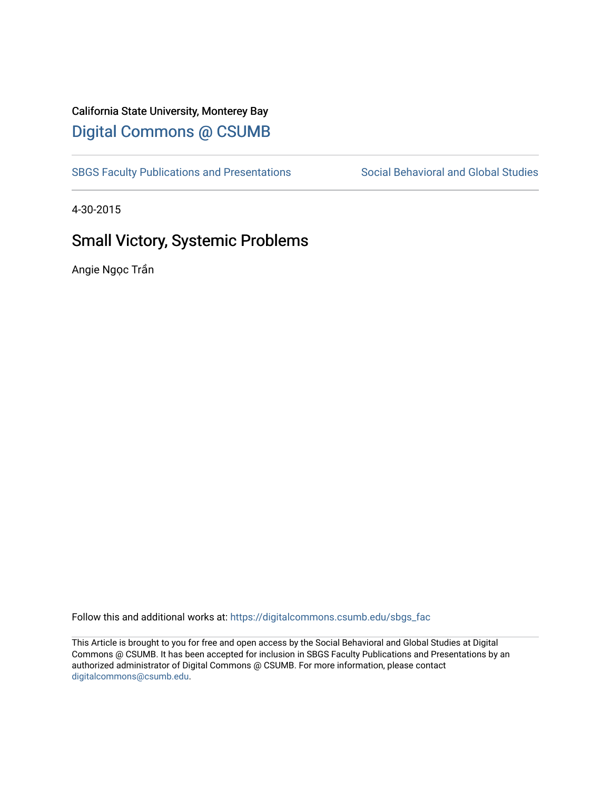## California State University, Monterey Bay [Digital Commons @ CSUMB](https://digitalcommons.csumb.edu/)

[SBGS Faculty Publications and Presentations](https://digitalcommons.csumb.edu/sbgs_fac) Social Behavioral and Global Studies

4-30-2015

# Small Victory, Systemic Problems

Angie Ngọc Trần

Follow this and additional works at: [https://digitalcommons.csumb.edu/sbgs\\_fac](https://digitalcommons.csumb.edu/sbgs_fac?utm_source=digitalcommons.csumb.edu%2Fsbgs_fac%2F32&utm_medium=PDF&utm_campaign=PDFCoverPages) 

This Article is brought to you for free and open access by the Social Behavioral and Global Studies at Digital Commons @ CSUMB. It has been accepted for inclusion in SBGS Faculty Publications and Presentations by an authorized administrator of Digital Commons @ CSUMB. For more information, please contact [digitalcommons@csumb.edu](mailto:digitalcommons@csumb.edu).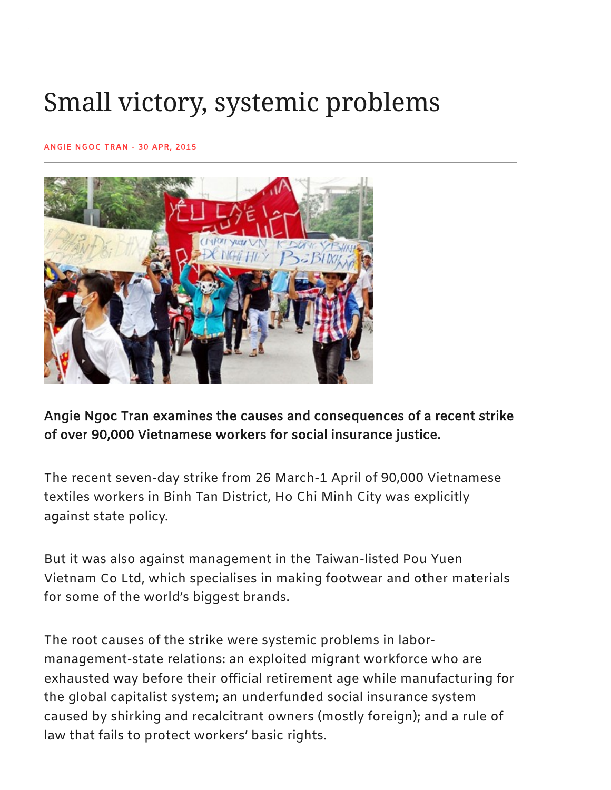# Small victory, systemic problems

#### [ANGIE](https://www.newmandala.org/author/angie-ngoc-tran/) NGOC TRAN - 30 APR, 2015



Angie Ngoc Tran examines the causes and consequences of a recent strike of over 90,000 Vietnamese workers for social insurance justice.

The recent seven-day strike from 26 March-1 April of 90,000 Vietnamese textiles workers in Binh Tan District, Ho Chi Minh City was explicitly against state policy.

But it was also against management in the Taiwan-listed Pou Yuen Vietnam Co Ltd, which specialises in making footwear and other materials for some of the world's biggest brands.

The root causes of the strike were systemic problems in labormanagement-state relations: an exploited migrant workforce who are exhausted way before their official retirement age while manufacturing for the global capitalist system; an underfunded social insurance system caused by shirking and recalcitrant owners (mostly foreign); and a rule of law that fails to protect workers' basic rights.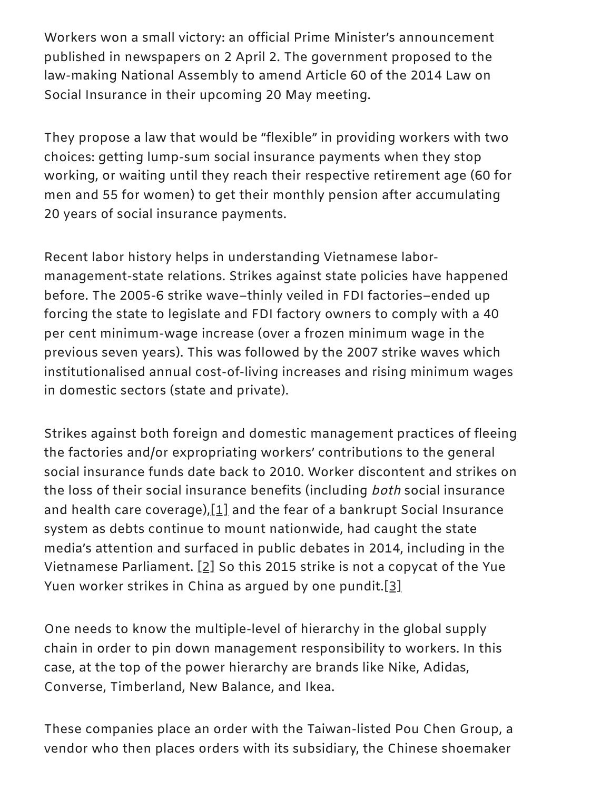Workers won a small victory: an official Prime Minister's announcement published in newspapers on 2 April 2. The government proposed to the law-making National Assembly to amend Article 60 of the 2014 Law on Social Insurance in their upcoming 20 May meeting.

They propose a law that would be "flexible" in providing workers with two choices: getting lump-sum social insurance payments when they stop working, or waiting until they reach their respective retirement age (60 for men and 55 for women) to get their monthly pension after accumulating 20 years of social insurance payments.

Recent labor history helps in understanding Vietnamese labormanagement-state relations. Strikes against state policies have happened before. The 2005-6 strike wave–thinly veiled in FDI factories–ended up forcing the state to legislate and FDI factory owners to comply with a 40 per cent minimum-wage increase (over a frozen minimum wage in the previous seven years). This was followed by the 2007 strike waves which institutionalised annual cost-of-living increases and rising minimum wages in domestic sectors (state and private).

<span id="page-2-0"></span>Strikes against both foreign and domestic management practices of fleeing the factories and/or expropriating workers' contributions to the general social insurance funds date back to 2010. Worker discontent and strikes on the loss of their social insurance benefits (including both social insurance and health care coverage), $[1]$  and the fear of a bankrupt Social Insurance system as debts continue to mount nationwide, had caught the state media's attention and surfaced in public debates in 2014, including in the Vietnamese Parliament.  $[2]$  So this 2015 strike is not a copycat of the Yue Yuen worker strikes in China as argued by one pundit.[\[3\]](#page-13-2)

<span id="page-2-2"></span><span id="page-2-1"></span>One needs to know the multiple-level of hierarchy in the global supply chain in order to pin down management responsibility to workers. In this case, at the top of the power hierarchy are brands like Nike, Adidas, Converse, Timberland, New Balance, and Ikea.

These companies place an order with the Taiwan-listed Pou Chen Group, a vendor who then places orders with its subsidiary, the Chinese shoemaker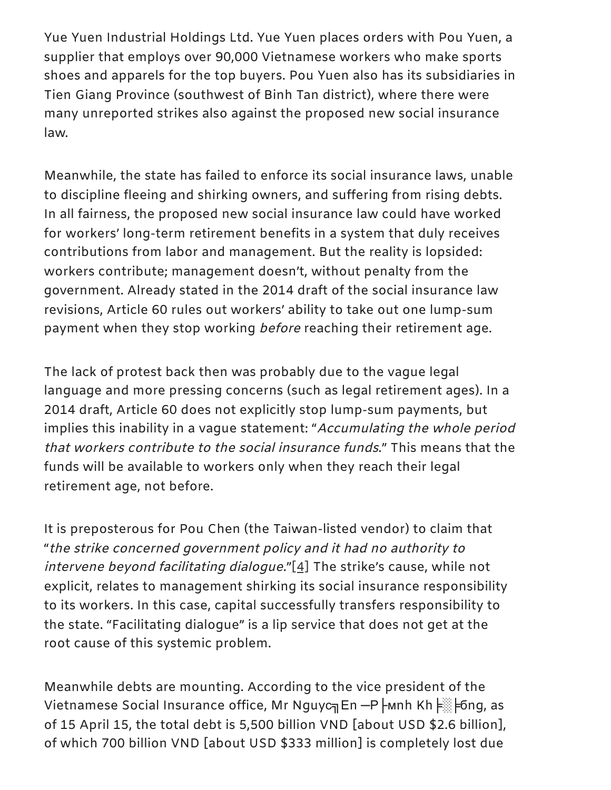Yue Yuen Industrial Holdings Ltd. Yue Yuen places orders with Pou Yuen, a supplier that employs over 90,000 Vietnamese workers who make sports shoes and apparels for the top buyers. Pou Yuen also has its subsidiaries in Tien Giang Province (southwest of Binh Tan district), where there were many unreported strikes also against the proposed new social insurance law.

Meanwhile, the state has failed to enforce its social insurance laws, unable to discipline fleeing and shirking owners, and suffering from rising debts. In all fairness, the proposed new social insurance law could have worked for workers' long-term retirement benefits in a system that duly receives contributions from labor and management. But the reality is lopsided: workers contribute; management doesn't, without penalty from the government. Already stated in the 2014 draft of the social insurance law revisions, Article 60 rules out workers' ability to take out one lump-sum payment when they stop working *before* reaching their retirement age.

The lack of protest back then was probably due to the vague legal language and more pressing concerns (such as legal retirement ages). In a 2014 draft, Article 60 does not explicitly stop lump-sum payments, but implies this inability in a vague statement: "Accumulating the whole period that workers contribute to the social insurance funds." This means that the funds will be available to workers only when they reach their legal retirement age, not before.

<span id="page-3-0"></span>It is preposterous for Pou Chen (the Taiwan-listed vendor) to claim that "the strike concerned government policy and it had no authority to intervene beyond facilitating dialogue." $[4]$  The strike's cause, while not explicit, relates to management shirking its social insurance responsibility to its workers. In this case, capital successfully transfers responsibility to the state. "Facilitating dialogue" is a lip service that does not get at the root cause of this systemic problem.

Meanwhile debts are mounting. According to the vice president of the Vietnamese Social Insurance office, Mr Nguyc╗En —P Hunh Kh F▒ Fong, as of 15 April 15, the total debt is 5,500 billion VND [about USD \$2.6 billion], of which 700 billion VND [about USD \$333 million] is completely lost due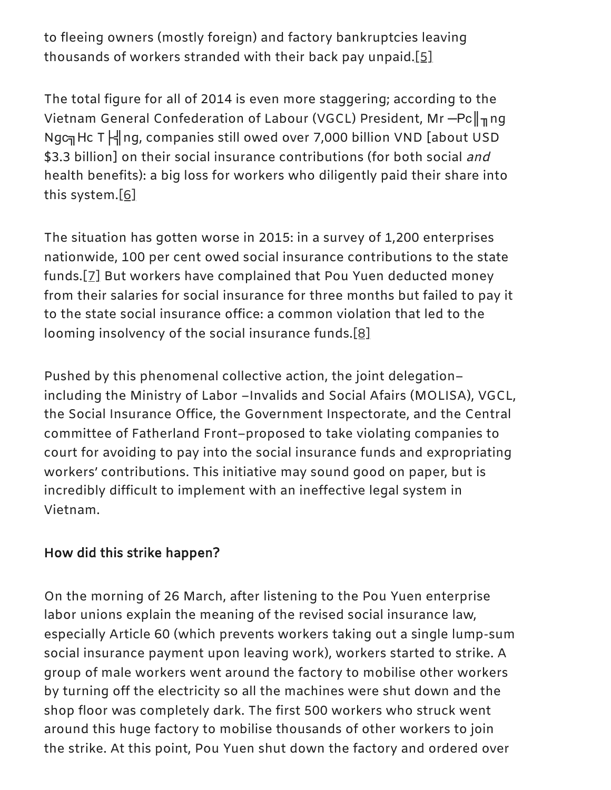<span id="page-4-0"></span>to fleeing owners (mostly foreign) and factory bankruptcies leaving thousands of workers stranded with their back pay unpaid.[\[5\]](#page-14-0)

The total figure for all of 2014 is even more staggering; according to the Vietnam General Confederation of Labour (VGCL) President, Mr - Pc ||<sub>11</sub> ng Ngc<sub></sub> Hc T H ng, companies still owed over 7,000 billion VND [about USD \$3.3 billion] on their social insurance contributions (for both social and health benefits): a big loss for workers who diligently paid their share into this system.[\[6\]](#page-14-1)

<span id="page-4-2"></span><span id="page-4-1"></span>The situation has gotten worse in 2015: in a survey of 1,200 enterprises nationwide, 100 per cent owed social insurance contributions to the state funds.[\[7\]](#page-14-2) But workers have complained that Pou Yuen deducted money from their salaries for social insurance for three months but failed to pay it to the state social insurance office: a common violation that led to the looming insolvency of the social insurance funds.[\[8\]](#page-14-3)

<span id="page-4-3"></span>Pushed by this phenomenal collective action, the joint delegation– including the Ministry of Labor –Invalids and Social Afairs (MOLISA), VGCL, the Social Insurance Office, the Government Inspectorate, and the Central committee of Fatherland Front–proposed to take violating companies to court for avoiding to pay into the social insurance funds and expropriating workers' contributions. This initiative may sound good on paper, but is incredibly difficult to implement with an ineffective legal system in Vietnam.

#### How did this strike happen?

On the morning of 26 March, after listening to the Pou Yuen enterprise labor unions explain the meaning of the revised social insurance law, especially Article 60 (which prevents workers taking out a single lump-sum social insurance payment upon leaving work), workers started to strike. A group of male workers went around the factory to mobilise other workers by turning off the electricity so all the machines were shut down and the shop floor was completely dark. The first 500 workers who struck went around this huge factory to mobilise thousands of other workers to join the strike. At this point, Pou Yuen shut down the factory and ordered over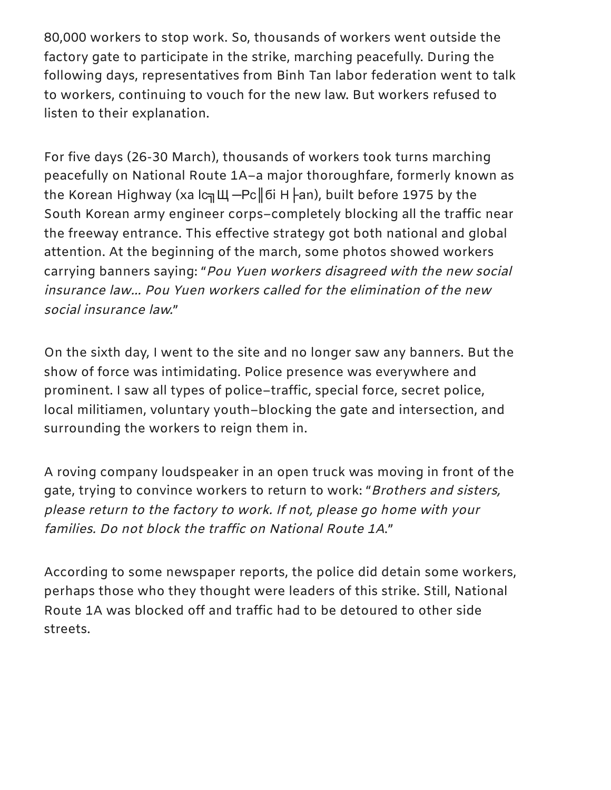80,000 workers to stop work. So, thousands of workers went outside the factory gate to participate in the strike, marching peacefully. During the following days, representatives from Binh Tan labor federation went to talk to workers, continuing to vouch for the new law. But workers refused to listen to their explanation.

For five days (26-30 March), thousands of workers took turns marching peacefully on National Route 1A–a major thoroughfare, formerly known as the Korean Highway (ха lс╗Щ - Pс | бi Н |- an), built before 1975 by the South Korean army engineer corps–completely blocking all the traffic near the freeway entrance. This effective strategy got both national and global attention. At the beginning of the march, some photos showed workers carrying banners saying: "Pou Yuen workers disagreed with the new social insurance law… Pou Yuen workers called for the elimination of the new social insurance law."

On the sixth day, I went to the site and no longer saw any banners. But the show of force was intimidating. Police presence was everywhere and prominent. I saw all types of police–traffic, special force, secret police, local militiamen, voluntary youth–blocking the gate and intersection, and surrounding the workers to reign them in.

A roving company loudspeaker in an open truck was moving in front of the gate, trying to convince workers to return to work: "Brothers and sisters, please return to the factory to work. If not, please go home with your families. Do not block the traffic on National Route 1A."

According to some newspaper reports, the police did detain some workers, perhaps those who they thought were leaders of this strike. Still, National Route 1A was blocked off and traffic had to be detoured to other side streets.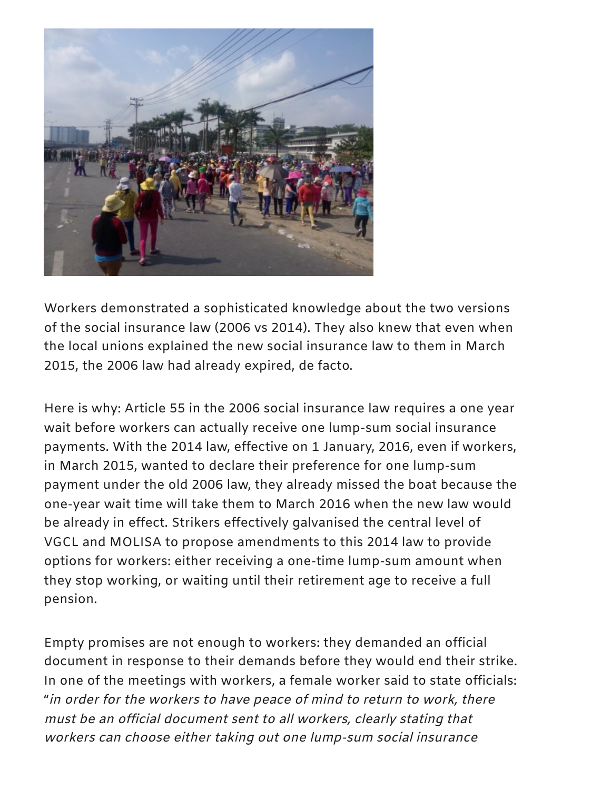

Workers demonstrated a sophisticated knowledge about the two versions of the social insurance law (2006 vs 2014). They also knew that even when the local unions explained the new social insurance law to them in March 2015, the 2006 law had already expired, de facto.

Here is why: Article 55 in the 2006 social insurance law requires a one year wait before workers can actually receive one lump-sum social insurance payments. With the 2014 law, effective on 1 January, 2016, even if workers, in March 2015, wanted to declare their preference for one lump-sum payment under the old 2006 law, they already missed the boat because the one-year wait time will take them to March 2016 when the new law would be already in effect. Strikers effectively galvanised the central level of VGCL and MOLISA to propose amendments to this 2014 law to provide options for workers: either receiving a one-time lump-sum amount when they stop working, or waiting until their retirement age to receive a full pension.

Empty promises are not enough to workers: they demanded an official document in response to their demands before they would end their strike. In one of the meetings with workers, a female worker said to state officials: "in order for the workers to have peace of mind to return to work, there must be an official document sent to all workers, clearly stating that workers can choose either taking out one lump-sum social insurance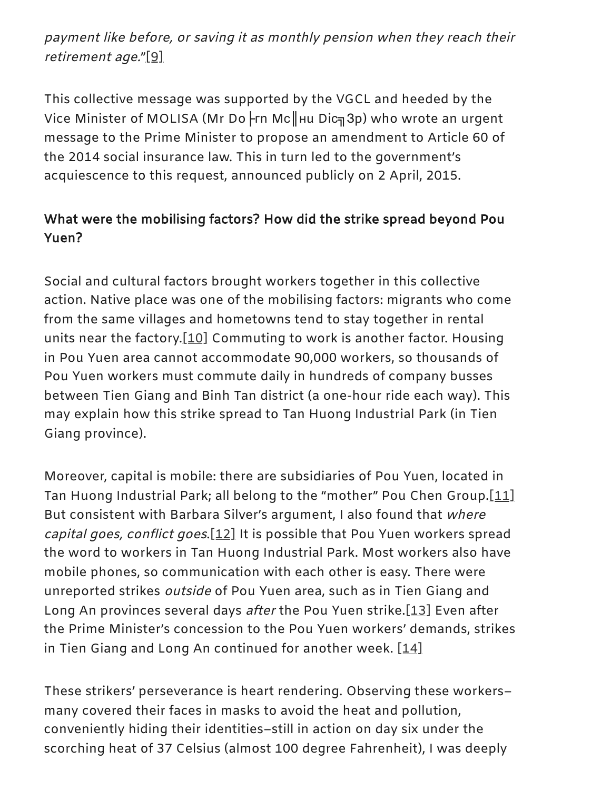<span id="page-7-0"></span>payment like before, or saving it as monthly pension when they reach their retirement age."[\[9\]](#page-14-4)

This collective message was supported by the VGCL and heeded by the Vice Minister of MOLISA (Mr Do ⊦rn Mc∥ни Diс 3p) who wrote an urgent message to the Prime Minister to propose an amendment to Article 60 of the 2014 social insurance law. This in turn led to the government's acquiescence to this request, announced publicly on 2 April, 2015.

# What were the mobilising factors? How did the strike spread beyond Pou Yuen?

<span id="page-7-1"></span>Social and cultural factors brought workers together in this collective action. Native place was one of the mobilising factors: migrants who come from the same villages and hometowns tend to stay together in rental units near the factory. $[10]$  Commuting to work is another factor. Housing in Pou Yuen area cannot accommodate 90,000 workers, so thousands of Pou Yuen workers must commute daily in hundreds of company busses between Tien Giang and Binh Tan district (a one-hour ride each way). This may explain how this strike spread to Tan Huong Industrial Park (in Tien Giang province).

<span id="page-7-3"></span><span id="page-7-2"></span>Moreover, capital is mobile: there are subsidiaries of Pou Yuen, located in Tan Huong Industrial Park; all belong to the "mother" Pou Chen Group[.\[11\]](#page-14-6) But consistent with Barbara Silver's argument, I also found that where capital goes, conflict goes[.\[12\]](#page-14-7) It is possible that Pou Yuen workers spread the word to workers in Tan Huong Industrial Park. Most workers also have mobile phones, so communication with each other is easy. There were unreported strikes outside of Pou Yuen area, such as in Tien Giang and Long An provinces several days after the Pou Yuen strike[.\[13\]](#page-14-8) Even after the Prime Minister's concession to the Pou Yuen workers' demands, strikes in Tien Giang and Long An continued for another week.  $[14]$ 

<span id="page-7-4"></span>These strikers' perseverance is heart rendering. Observing these workers– many covered their faces in masks to avoid the heat and pollution, conveniently hiding their identities–still in action on day six under the scorching heat of 37 Celsius (almost 100 degree Fahrenheit), I was deeply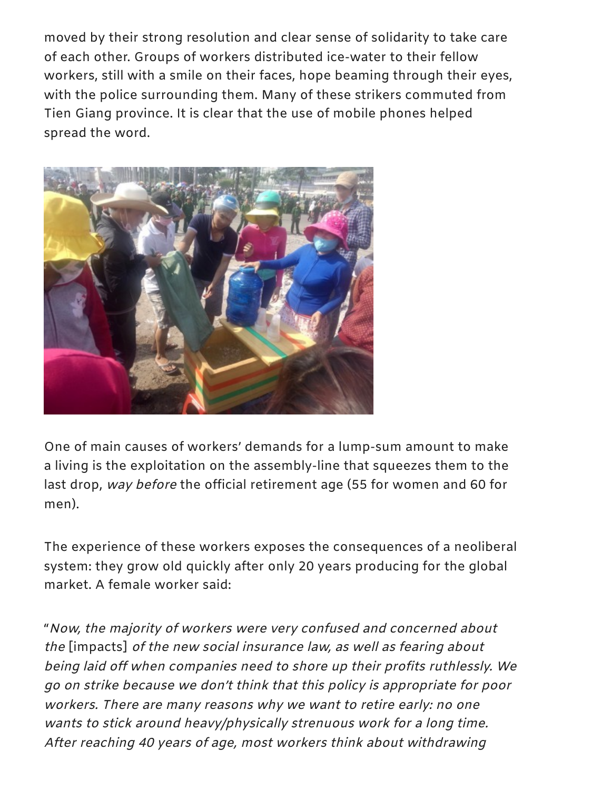moved by their strong resolution and clear sense of solidarity to take care of each other. Groups of workers distributed ice-water to their fellow workers, still with a smile on their faces, hope beaming through their eyes, with the police surrounding them. Many of these strikers commuted from Tien Giang province. It is clear that the use of mobile phones helped spread the word.



One of main causes of workers' demands for a lump-sum amount to make a living is the exploitation on the assembly-line that squeezes them to the last drop, way before the official retirement age (55 for women and 60 for men).

The experience of these workers exposes the consequences of a neoliberal system: they grow old quickly after only 20 years producing for the global market. A female worker said:

"Now, the majority of workers were very confused and concerned about the [impacts] of the new social insurance law, as well as fearing about being laid off when companies need to shore up their profits ruthlessly. We go on strike because we don't think that this policy is appropriate for poor workers. There are many reasons why we want to retire early: no one wants to stick around heavy/physically strenuous work for <sup>a</sup> long time. After reaching 40 years of age, most workers think about withdrawing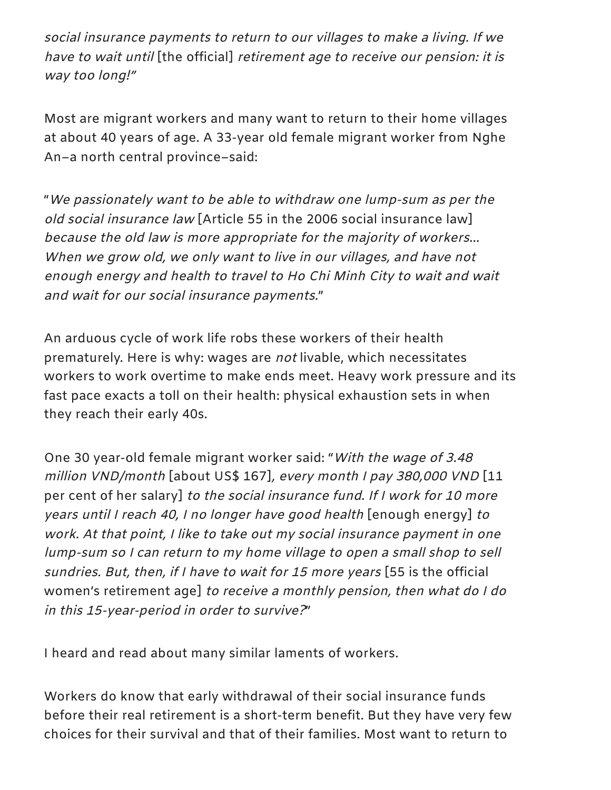social insurance payments to return to our villages to make <sup>a</sup> living. If we have to wait until [the official] retirement age to receive our pension: it is way too long!"

Most are migrant workers and many want to return to their home villages at about 40 years of age. A 33-year old female migrant worker from Nghe An–a north central province–said:

"We passionately want to be able to withdraw one lump-sum as per the old social insurance law [Article 55 in the 2006 social insurance law] because the old law is more appropriate for the majority of workers… When we grow old, we only want to live in our villages, and have not enough energy and health to travel to Ho Chi Minh City to wait and wait and wait for our social insurance payments."

An arduous cycle of work life robs these workers of their health prematurely. Here is why: wages are *not* livable, which necessitates workers to work overtime to make ends meet. Heavy work pressure and its fast pace exacts a toll on their health: physical exhaustion sets in when they reach their early 40s.

One 30 year-old female migrant worker said: "With the wage of 3.48 million VND/month [about US\$ 167], every month <sup>I</sup> pay 380,000 VND [11 per cent of her salary] to the social insurance fund. If I work for 10 more years until <sup>I</sup> reach 40, <sup>I</sup> no longer have good health [enough energy] to work. At that point, <sup>I</sup> like to take out my social insurance payment in one lump-sum so <sup>I</sup> can return to my home village to open <sup>a</sup> small shop to sell sundries. But, then, if <sup>I</sup> have to wait for <sup>15</sup> more years [55 is the official women's retirement age] to receive <sup>a</sup> monthly pension, then what do <sup>I</sup> do in this 15-year-period in order to survive?"

I heard and read about many similar laments of workers.

Workers do know that early withdrawal of their social insurance funds before their real retirement is a short-term benefit. But they have very few choices for their survival and that of their families. Most want to return to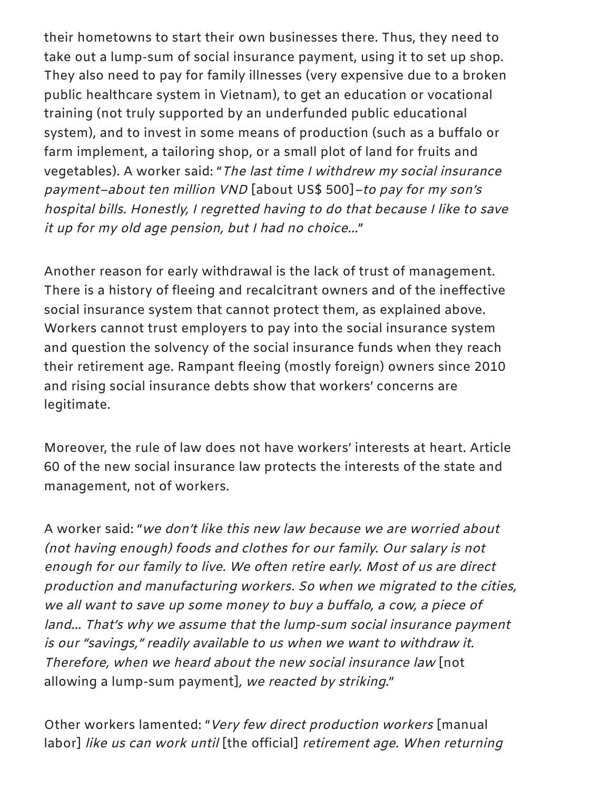their hometowns to start their own businesses there. Thus, they need to take out a lump-sum of social insurance payment, using it to set up shop. They also need to pay for family illnesses (very expensive due to a broken public healthcare system in Vietnam), to get an education or vocational training (not truly supported by an underfunded public educational system), and to invest in some means of production (such as a buffalo or farm implement, a tailoring shop, or a small plot of land for fruits and vegetables). A worker said: "The last time <sup>I</sup> withdrew my social insurance payment–about ten million VND [about US\$ 500]–to pay for my son's hospital bills. Honestly, <sup>I</sup> regretted having to do that because <sup>I</sup> like to save it up for my old age pension, but <sup>I</sup> had no choice…"

Another reason for early withdrawal is the lack of trust of management. There is a history of fleeing and recalcitrant owners and of the ineffective social insurance system that cannot protect them, as explained above. Workers cannot trust employers to pay into the social insurance system and question the solvency of the social insurance funds when they reach their retirement age. Rampant fleeing (mostly foreign) owners since 2010 and rising social insurance debts show that workers' concerns are legitimate.

Moreover, the rule of law does not have workers' interests at heart. Article 60 of the new social insurance law protects the interests of the state and management, not of workers.

A worker said: "we don't like this new law because we are worried about (not having enough) foods and clothes for our family. Our salary is not enough for our family to live. We often retire early. Most of us are direct production and manufacturing workers. So when we migrated to the cities, we all want to save up some money to buy <sup>a</sup> buffalo, <sup>a</sup> cow, <sup>a</sup> piece of land… That's why we assume that the lump-sum social insurance payment is our "savings," readily available to us when we want to withdraw it. Therefore, when we heard about the new social insurance law [not allowing a lump-sum payment], we reacted by striking."

Other workers lamented: "Very few direct production workers [manual labor] like us can work until [the official] retirement age. When returning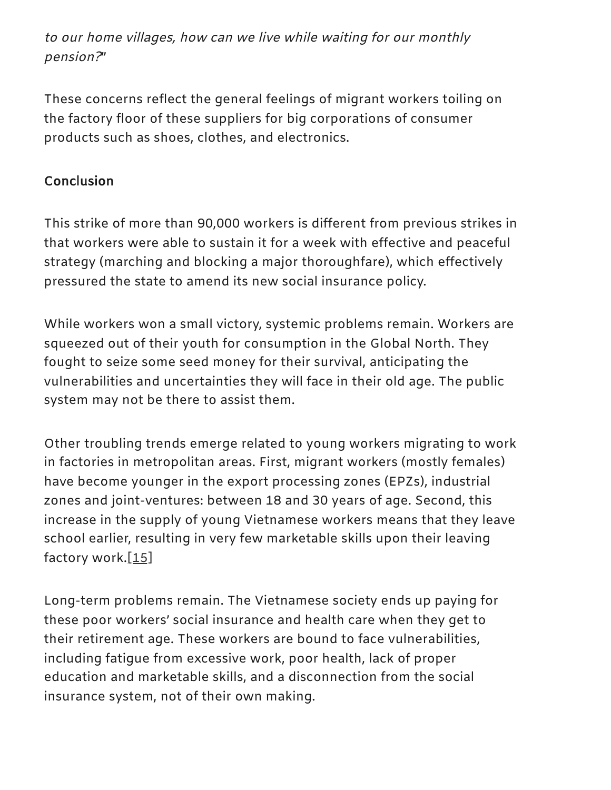to our home villages, how can we live while waiting for our monthly pension?"

These concerns reflect the general feelings of migrant workers toiling on the factory floor of these suppliers for big corporations of consumer products such as shoes, clothes, and electronics.

### **Conclusion**

This strike of more than 90,000 workers is different from previous strikes in that workers were able to sustain it for a week with effective and peaceful strategy (marching and blocking a major thoroughfare), which effectively pressured the state to amend its new social insurance policy.

While workers won a small victory, systemic problems remain. Workers are squeezed out of their youth for consumption in the Global North. They fought to seize some seed money for their survival, anticipating the vulnerabilities and uncertainties they will face in their old age. The public system may not be there to assist them.

Other troubling trends emerge related to young workers migrating to work in factories in metropolitan areas. First, migrant workers (mostly females) have become younger in the export processing zones (EPZs), industrial zones and joint-ventures: between 18 and 30 years of age. Second, this increase in the supply of young Vietnamese workers means that they leave school earlier, resulting in very few marketable skills upon their leaving factory work[.\[15\]](#page-14-9)

<span id="page-11-0"></span>Long-term problems remain. The Vietnamese society ends up paying for these poor workers' social insurance and health care when they get to their retirement age. These workers are bound to face vulnerabilities, including fatigue from excessive work, poor health, lack of proper education and marketable skills, and a disconnection from the social insurance system, not of their own making.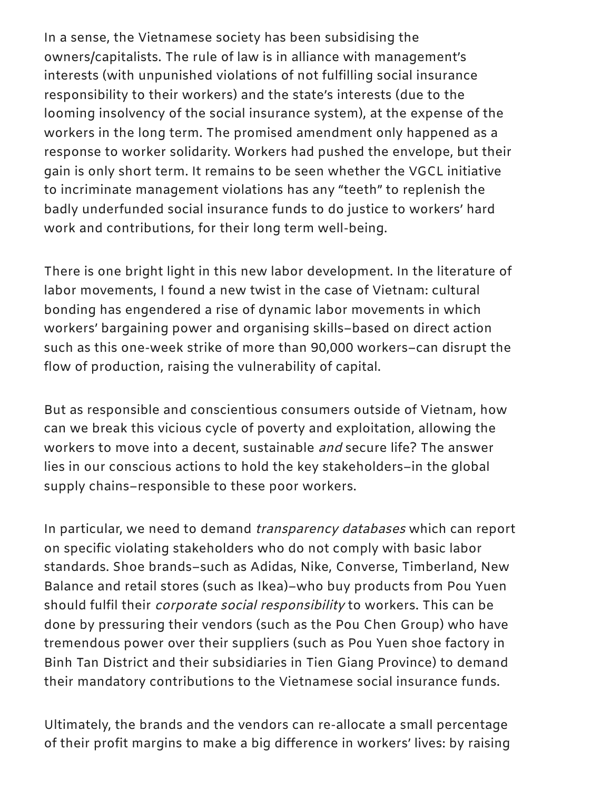In a sense, the Vietnamese society has been subsidising the owners/capitalists. The rule of law is in alliance with management's interests (with unpunished violations of not fulfilling social insurance responsibility to their workers) and the state's interests (due to the looming insolvency of the social insurance system), at the expense of the workers in the long term. The promised amendment only happened as a response to worker solidarity. Workers had pushed the envelope, but their gain is only short term. It remains to be seen whether the VGCL initiative to incriminate management violations has any "teeth" to replenish the badly underfunded social insurance funds to do justice to workers' hard work and contributions, for their long term well-being.

There is one bright light in this new labor development. In the literature of labor movements, I found a new twist in the case of Vietnam: cultural bonding has engendered a rise of dynamic labor movements in which workers' bargaining power and organising skills–based on direct action such as this one-week strike of more than 90,000 workers–can disrupt the flow of production, raising the vulnerability of capital.

But as responsible and conscientious consumers outside of Vietnam, how can we break this vicious cycle of poverty and exploitation, allowing the workers to move into a decent, sustainable and secure life? The answer lies in our conscious actions to hold the key stakeholders–in the global supply chains–responsible to these poor workers.

In particular, we need to demand *transparency databases* which can report on specific violating stakeholders who do not comply with basic labor standards. Shoe brands–such as Adidas, Nike, Converse, Timberland, New Balance and retail stores (such as Ikea)–who buy products from Pou Yuen should fulfil their *corporate social responsibility* to workers. This can be done by pressuring their vendors (such as the Pou Chen Group) who have tremendous power over their suppliers (such as Pou Yuen shoe factory in Binh Tan District and their subsidiaries in Tien Giang Province) to demand their mandatory contributions to the Vietnamese social insurance funds.

Ultimately, the brands and the vendors can re-allocate a small percentage of their profit margins to make a big difference in workers' lives: by raising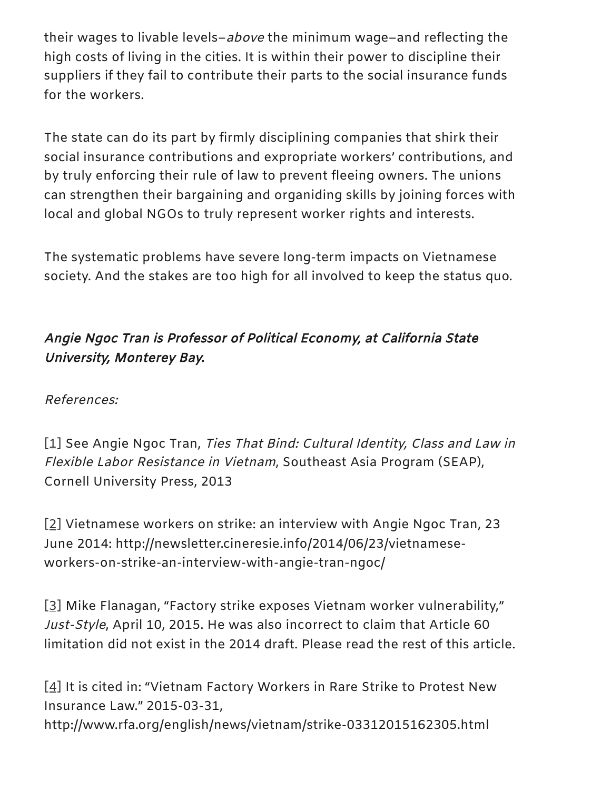their wages to livable levels–above the minimum wage–and reflecting the high costs of living in the cities. It is within their power to discipline their suppliers if they fail to contribute their parts to the social insurance funds for the workers.

The state can do its part by firmly disciplining companies that shirk their social insurance contributions and expropriate workers' contributions, and by truly enforcing their rule of law to prevent fleeing owners. The unions can strengthen their bargaining and organiding skills by joining forces with local and global NGOs to truly represent worker rights and interests.

The systematic problems have severe long-term impacts on Vietnamese society. And the stakes are too high for all involved to keep the status quo.

# Angie Ngoc Tran is Professor of Political Economy, at California State University, Monterey Bay.

References:

<span id="page-13-0"></span>[\[1\]](#page-2-0) See Angie Ngoc Tran, Ties That Bind: Cultural Identity, Class and Law in Flexible Labor Resistance in Vietnam, Southeast Asia Program (SEAP), Cornell University Press, 2013

<span id="page-13-1"></span>[\[2\]](#page-2-1) Vietnamese workers on strike: an interview with Angie Ngoc Tran, 23 June 2014: http://newsletter.cineresie.info/2014/06/23/vietnameseworkers-on-strike-an-interview-with-angie-tran-ngoc/

<span id="page-13-2"></span>[\[3\]](#page-2-2) Mike Flanagan, "Factory strike exposes Vietnam worker vulnerability," Just-Style, April 10, 2015. He was also incorrect to claim that Article 60 limitation did not exist in the 2014 draft. Please read the rest of this article.

<span id="page-13-3"></span>[\[4\]](#page-3-0) It is cited in: "Vietnam Factory Workers in Rare Strike to Protest New Insurance Law." 2015-03-31, http://www.rfa.org/english/news/vietnam/strike-03312015162305.html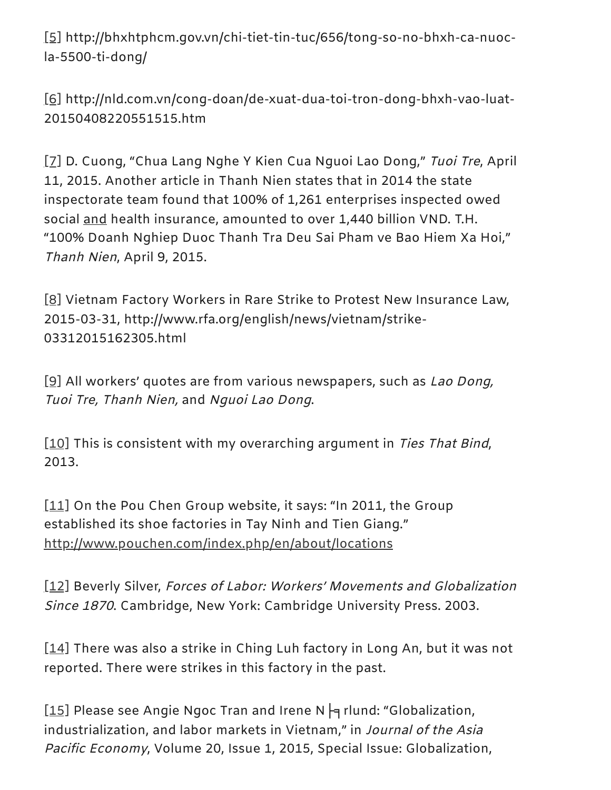<span id="page-14-0"></span>[\[5\]](#page-4-0) http://bhxhtphcm.gov.vn/chi-tiet-tin-tuc/656/tong-so-no-bhxh-ca-nuocla-5500-ti-dong/

<span id="page-14-1"></span>[\[6\]](#page-4-1) http://nld.com.vn/cong-doan/de-xuat-dua-toi-tron-dong-bhxh-vao-luat-20150408220551515.htm

<span id="page-14-2"></span>[\[7\]](#page-4-2) D. Cuong, "Chua Lang Nghe Y Kien Cua Nguoi Lao Dong," Tuoi Tre, April 11, 2015. Another article in Thanh Nien states that in 2014 the state inspectorate team found that 100% of 1,261 enterprises inspected owed social and health insurance, amounted to over 1,440 billion VND. T.H. "100% Doanh Nghiep Duoc Thanh Tra Deu Sai Pham ve Bao Hiem Xa Hoi," Thanh Nien, April 9, 2015.

<span id="page-14-3"></span>[\[8\]](#page-4-3) Vietnam Factory Workers in Rare Strike to Protest New Insurance Law, 2015-03-31, http://www.rfa.org/english/news/vietnam/strike-03312015162305.html

<span id="page-14-4"></span>[\[9\]](#page-7-0) All workers' quotes are from various newspapers, such as Lao Dong, Tuoi Tre, Thanh Nien, and Nguoi Lao Dong.

<span id="page-14-5"></span>[\[10\]](#page-7-1) This is consistent with my overarching argument in *Ties That Bind*, 2013.

<span id="page-14-6"></span>[\[11\]](#page-7-2) On the Pou Chen Group website, it says: "In 2011, the Group established its shoe factories in Tay Ninh and Tien Giang." <http://www.pouchen.com/index.php/en/about/locations>

<span id="page-14-7"></span>[\[12\]](#page-7-3) Beverly Silver, Forces of Labor: Workers' Movements and Globalization Since <sup>1870</sup>. Cambridge, New York: Cambridge University Press. 2003.

<span id="page-14-8"></span>[\[14\]](#page-7-4) There was also a strike in Ching Luh factory in Long An, but it was not reported. There were strikes in this factory in the past.

<span id="page-14-9"></span>[\[15\]](#page-11-0) Please see Angie Ngoc Tran and Irene N  $\nvdash$  rlund: "Globalization, industrialization, and labor markets in Vietnam," in Journal of the Asia Pacific Economy, Volume 20, Issue 1, 2015, Special Issue: Globalization,